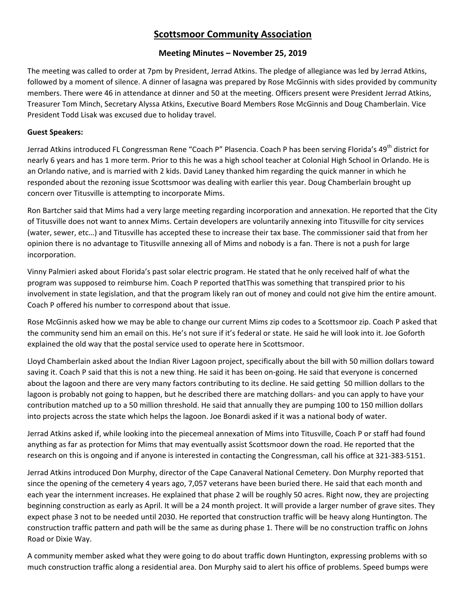# **Scottsmoor Community Association**

## **Meeting Minutes – November 25, 2019**

The meeting was called to order at 7pm by President, Jerrad Atkins. The pledge of allegiance was led by Jerrad Atkins, followed by a moment of silence. A dinner of lasagna was prepared by Rose McGinnis with sides provided by community members. There were 46 in attendance at dinner and 50 at the meeting. Officers present were President Jerrad Atkins, Treasurer Tom Minch, Secretary Alyssa Atkins, Executive Board Members Rose McGinnis and Doug Chamberlain. Vice President Todd Lisak was excused due to holiday travel.

## **Guest Speakers:**

Jerrad Atkins introduced FL Congressman Rene "Coach P" Plasencia. Coach P has been serving Florida's 49<sup>th</sup> district for nearly 6 years and has 1 more term. Prior to this he was a high school teacher at Colonial High School in Orlando. He is an Orlando native, and is married with 2 kids. David Laney thanked him regarding the quick manner in which he responded about the rezoning issue Scottsmoor was dealing with earlier this year. Doug Chamberlain brought up concern over Titusville is attempting to incorporate Mims.

Ron Bartcher said that Mims had a very large meeting regarding incorporation and annexation. He reported that the City of Titusville does not want to annex Mims. Certain developers are voluntarily annexing into Titusville for city services (water, sewer, etc…) and Titusville has accepted these to increase their tax base. The commissioner said that from her opinion there is no advantage to Titusville annexing all of Mims and nobody is a fan. There is not a push for large incorporation.

Vinny Palmieri asked about Florida's past solar electric program. He stated that he only received half of what the program was supposed to reimburse him. Coach P reported thatThis was something that transpired prior to his involvement in state legislation, and that the program likely ran out of money and could not give him the entire amount. Coach P offered his number to correspond about that issue.

Rose McGinnis asked how we may be able to change our current Mims zip codes to a Scottsmoor zip. Coach P asked that the community send him an email on this. He's not sure if it's federal or state. He said he will look into it. Joe Goforth explained the old way that the postal service used to operate here in Scottsmoor.

Lloyd Chamberlain asked about the Indian River Lagoon project, specifically about the bill with 50 million dollars toward saving it. Coach P said that this is not a new thing. He said it has been on-going. He said that everyone is concerned about the lagoon and there are very many factors contributing to its decline. He said getting 50 million dollars to the lagoon is probably not going to happen, but he described there are matching dollars- and you can apply to have your contribution matched up to a 50 million threshold. He said that annually they are pumping 100 to 150 million dollars into projects across the state which helps the lagoon. Joe Bonardi asked if it was a national body of water.

Jerrad Atkins asked if, while looking into the piecemeal annexation of Mims into Titusville, Coach P or staff had found anything as far as protection for Mims that may eventually assist Scottsmoor down the road. He reported that the research on this is ongoing and if anyone is interested in contacting the Congressman, call his office at 321-383-5151.

Jerrad Atkins introduced Don Murphy, director of the Cape Canaveral National Cemetery. Don Murphy reported that since the opening of the cemetery 4 years ago, 7,057 veterans have been buried there. He said that each month and each year the internment increases. He explained that phase 2 will be roughly 50 acres. Right now, they are projecting beginning construction as early as April. It will be a 24 month project. It will provide a larger number of grave sites. They expect phase 3 not to be needed until 2030. He reported that construction traffic will be heavy along Huntington. The construction traffic pattern and path will be the same as during phase 1. There will be no construction traffic on Johns Road or Dixie Way.

A community member asked what they were going to do about traffic down Huntington, expressing problems with so much construction traffic along a residential area. Don Murphy said to alert his office of problems. Speed bumps were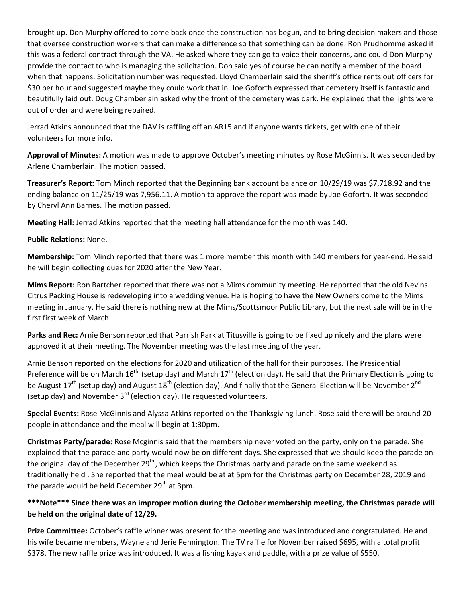brought up. Don Murphy offered to come back once the construction has begun, and to bring decision makers and those that oversee construction workers that can make a difference so that something can be done. Ron Prudhomme asked if this was a federal contract through the VA. He asked where they can go to voice their concerns, and could Don Murphy provide the contact to who is managing the solicitation. Don said yes of course he can notify a member of the board when that happens. Solicitation number was requested. Lloyd Chamberlain said the sheriff's office rents out officers for \$30 per hour and suggested maybe they could work that in. Joe Goforth expressed that cemetery itself is fantastic and beautifully laid out. Doug Chamberlain asked why the front of the cemetery was dark. He explained that the lights were out of order and were being repaired.

Jerrad Atkins announced that the DAV is raffling off an AR15 and if anyone wants tickets, get with one of their volunteers for more info.

**Approval of Minutes:** A motion was made to approve October's meeting minutes by Rose McGinnis. It was seconded by Arlene Chamberlain. The motion passed.

**Treasurer's Report:** Tom Minch reported that the Beginning bank account balance on 10/29/19 was \$7,718.92 and the ending balance on 11/25/19 was 7,956.11. A motion to approve the report was made by Joe Goforth. It was seconded by Cheryl Ann Barnes. The motion passed.

**Meeting Hall:** Jerrad Atkins reported that the meeting hall attendance for the month was 140.

#### **Public Relations:** None.

**Membership:** Tom Minch reported that there was 1 more member this month with 140 members for year‐end. He said he will begin collecting dues for 2020 after the New Year.

**Mims Report:** Ron Bartcher reported that there was not a Mims community meeting. He reported that the old Nevins Citrus Packing House is redeveloping into a wedding venue. He is hoping to have the New Owners come to the Mims meeting in January. He said there is nothing new at the Mims/Scottsmoor Public Library, but the next sale will be in the first first week of March.

**Parks and Rec:** Arnie Benson reported that Parrish Park at Titusville is going to be fixed up nicely and the plans were approved it at their meeting. The November meeting was the last meeting of the year.

Arnie Benson reported on the elections for 2020 and utilization of the hall for their purposes. The Presidential Preference will be on March  $16^{th}$  (setup day) and March  $17^{th}$  (election day). He said that the Primary Election is going to be August 17<sup>th</sup> (setup day) and August 18<sup>th</sup> (election day). And finally that the General Election will be November 2<sup>nd</sup> (setup day) and November  $3^{rd}$  (election day). He requested volunteers.

**Special Events:** Rose McGinnis and Alyssa Atkins reported on the Thanksgiving lunch. Rose said there will be around 20 people in attendance and the meal will begin at 1:30pm.

**Christmas Party/parade:** Rose Mcginnis said that the membership never voted on the party, only on the parade. She explained that the parade and party would now be on different days. She expressed that we should keep the parade on the original day of the December  $29<sup>th</sup>$ , which keeps the Christmas party and parade on the same weekend as traditionally held . She reported that the meal would be at at 5pm for the Christmas party on December 28, 2019 and the parade would be held December  $29<sup>th</sup>$  at 3pm.

# **\*\*\*Note\*\*\* Since there was an improper motion during the October membership meeting, the Christmas parade will be held on the original date of 12/29.**

**Prize Committee:** October's raffle winner was present for the meeting and was introduced and congratulated. He and his wife became members, Wayne and Jerie Pennington. The TV raffle for November raised \$695, with a total profit \$378. The new raffle prize was introduced. It was a fishing kayak and paddle, with a prize value of \$550.